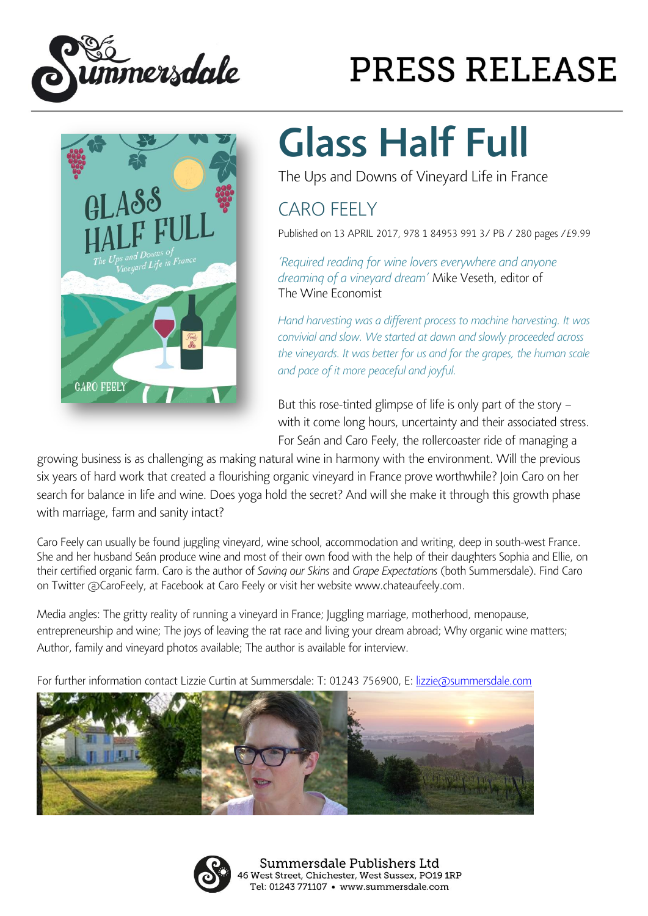



## **PRESS RELEASE**

## Glass Half Full

The Ups and Downs of Vineyard Life in France

## CARO FEELY

Published on 13 APRIL 2017, 978 1 84953 991 3/ PB / 280 pages /£9.99

*'Required reading for wine lovers everywhere and anyone dreaming of a vineyard dream'* Mike Veseth, editor of The Wine Economist

*Hand harvesting was a different process to machine harvesting. It was convivial and slow. We started at dawn and slowly proceeded across the vineyards. It was better for us and for the grapes, the human scale and pace of it more peaceful and joyful.*

But this rose-tinted glimpse of life is only part of the story – with it come long hours, uncertainty and their associated stress. For Seán and Caro Feely, the rollercoaster ride of managing a

growing business is as challenging as making natural wine in harmony with the environment. Will the previous six years of hard work that created a flourishing organic vineyard in France prove worthwhile? Join Caro on her search for balance in life and wine. Does yoga hold the secret? And will she make it through this growth phase with marriage, farm and sanity intact?

Caro Feely can usually be found juggling vineyard, wine school, accommodation and writing, deep in south-west France. She and her husband Seán produce wine and most of their own food with the help of their daughters Sophia and Ellie, on their certified organic farm. Caro is the author of *Saving our Skins* and *Grape Expectations* (both Summersdale). Find Caro on Twitter @CaroFeely, at Facebook at Caro Feely or visit her website www.chateaufeely.com.

Media angles: The gritty reality of running a vineyard in France; Juggling marriage, motherhood, menopause, entrepreneurship and wine; The joys of leaving the rat race and living your dream abroad; Why organic wine matters; Author, family and vineyard photos available; The author is available for interview.

For further information contact Lizzie Curtin at Summersdale: T: 01243 756900, E: [lizzie@summersdale.com](mailto:lizzie@summersdale.com#)





Summersdale Publishers Ltd 46 West Street, Chichester, West Sussex, PO19 1RP Tel: 01243 771107 · www.summersdale.com